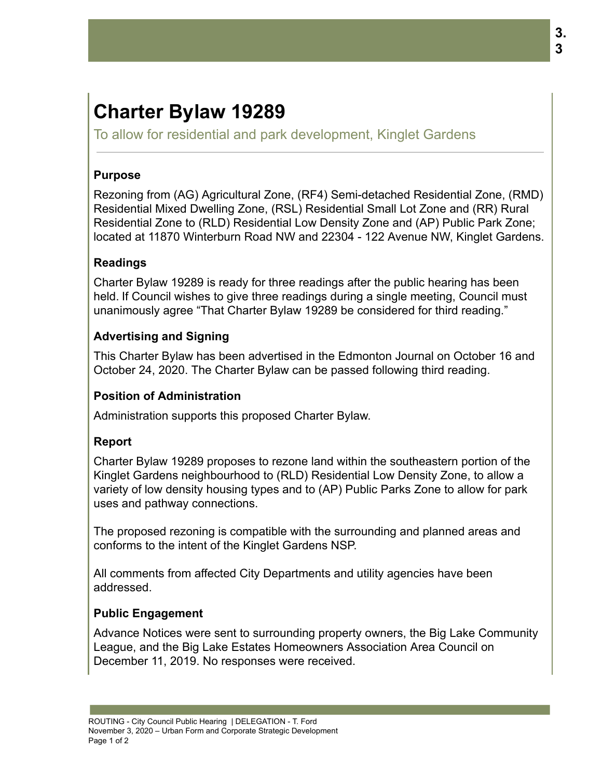# **Charter Bylaw 19289**

To allow for residential and park development, Kinglet Gardens

## **Purpose**

Rezoning from (AG) Agricultural Zone, (RF4) Semi-detached Residential Zone, (RMD) Residential Mixed Dwelling Zone, (RSL) Residential Small Lot Zone and (RR) Rural Residential Zone to (RLD) Residential Low Density Zone and (AP) Public Park Zone; located at 11870 Winterburn Road NW and 22304 - 122 Avenue NW, Kinglet Gardens.

### **Readings**

Charter Bylaw 19289 is ready for three readings after the public hearing has been held. If Council wishes to give three readings during a single meeting, Council must unanimously agree "That Charter Bylaw 19289 be considered for third reading."

## **Advertising and Signing**

This Charter Bylaw has been advertised in the Edmonton Journal on October 16 and October 24, 2020. The Charter Bylaw can be passed following third reading.

#### **Position of Administration**

Administration supports this proposed Charter Bylaw.

## **Report**

Charter Bylaw 19289 proposes to rezone land within the southeastern portion of the Kinglet Gardens neighbourhood to (RLD) Residential Low Density Zone, to allow a variety of low density housing types and to (AP) Public Parks Zone to allow for park uses and pathway connections.

The proposed rezoning is compatible with the surrounding and planned areas and conforms to the intent of the Kinglet Gardens NSP.

All comments from affected City Departments and utility agencies have been addressed.

## **Public Engagement**

Advance Notices were sent to surrounding property owners, the Big Lake Community League, and the Big Lake Estates Homeowners Association Area Council on December 11, 2019. No responses were received.